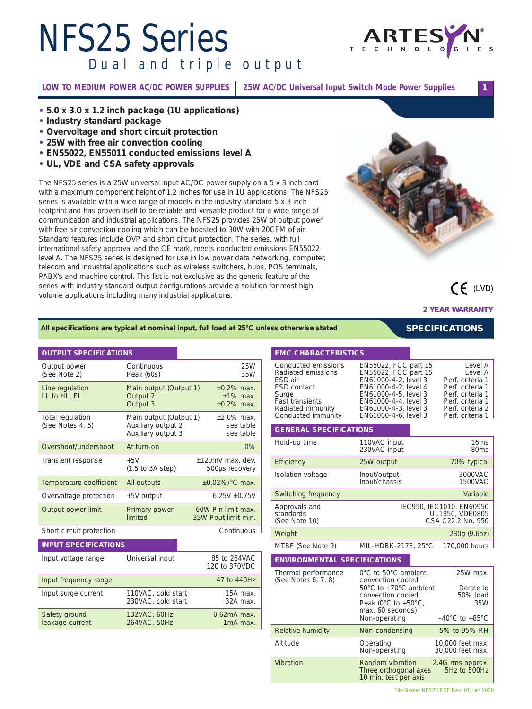## *NFS25 Series Dual and triple output*



**LOW TO MEDIUM POWER AC/DC POWER SUPPLIES 25W AC/DC Universal Input Switch Mode Power Supplies 1**

- **• 5.0 x 3.0 x 1.2 inch package (1U applications)**
- **• Industry standard package**
- **• Overvoltage and short circuit protection**
- **• 25W with free air convection cooling**
- **• EN55022, EN55011 conducted emissions level A**
- **• UL, VDE and CSA safety approvals**

The NFS25 series is a 25W universal input AC/DC power supply on a 5 x 3 inch card with a maximum component height of 1.2 inches for use in 1U applications. The NFS25 series is available with a wide range of models in the industry standard 5 x 3 inch footprint and has proven itself to be reliable and versatile product for a wide range of communication and industrial applications. The NFS25 provides 25W of output power with free air convection cooling which can be boosted to 30W with 20CFM of air. Standard features include OVP and short circuit protection. The series, with full international safety approval and the CE mark, meets conducted emissions EN55022 level A. The NFS25 series is designed for use in low power data networking, computer, telecom and industrial applications such as wireless switchers, hubs, POS terminals, PABX's and machine control. This list is not exclusive as the generic feature of the series with industry standard output configurations provide a solution for most high volume applications including many industrial applications.



 $CF$  (LVD)

**2 YEAR WARRANTY**

*SPECIFICATIONS*

#### *All specifications are typical at nominal input, full load at 25°C unless otherwise stated*

#### **OUTPUT SPECIFICATIONS**

| Output power<br>(See Note 2)         | Continuous<br>Peak (60s)                                           | 25W<br>35W                                       |
|--------------------------------------|--------------------------------------------------------------------|--------------------------------------------------|
| Line regulation<br>LL to HL, FL      | Main output (Output 1)<br>Output 2<br>Output 3                     | $+0.2\%$ max.<br>$±1\%$ max.<br>$\pm 0.2\%$ max. |
| Total regulation<br>(See Notes 4, 5) | Main output (Output 1)<br>Auxiliary output 2<br>Auxiliary output 3 | $±2.0\%$ max.<br>see table<br>see table          |
| Overshoot/undershoot                 | At turn-on                                                         | 0%                                               |
| Transient response                   | $+5V$<br>$(1.5 \text{ to } 3A \text{ step})$                       | ±120mV max. dev.<br>500us recovery               |
| Temperature coefficient              | All outputs                                                        | $\pm 0.02\%$ /°C max.                            |
| Overvoltage protection               | +5V output                                                         | $6.25V + 0.75V$                                  |
| Output power limit                   | Primary power<br>limited                                           | 60W Pin limit max.<br>35W Pout limit min.        |
| Short circuit protection             |                                                                    | Continuous                                       |
| <b>INPUT SPECIFICATIONS</b>          |                                                                    |                                                  |
| Input voltage range                  | Universal input                                                    | 85 to 264VAC<br>120 to 370VDC                    |
| Input frequency range                |                                                                    | 47 to 440Hz                                      |
| Input surge current                  | 110VAC, cold start<br>230VAC, cold start                           | 15A max.<br>32A max.                             |
| Safety ground<br>leakage current     | 132VAC, 60Hz<br>$0.62mA$ max.<br>264VAC, 50Hz<br>1mA max.          |                                                  |

#### Conducted emissions EN55022, FCC part 15 Level A Radiated emissions EN55022, FCC part 15 Level A ESD air EN61000-4-2, level 3 Perf. criteria 1 ESD contact EN61000-4-2, level 4 Perf. criteria 1 Surge EN61000-4-5, level 3 Perf. criteria 1<br>
Fast transients EN61000-4-4, level 3 Perf. criteria 1 Fast transients Fast transients<br>
Fadiated immunity FR61000-4-3, level 3 Perf. criteria 2 Radiated immunity EN61000-4-3, level 3 Perf. criteria 2<br>Conducted immunity EN61000-4-6, level 3 Perf. criteria 1 EN61000-4-6, level 3 **GENERAL SPECIFICATIONS** Hold-up time **110VAC** input 16ms 230VAC input 80ms Efficiency 25W output 70% typical Isolation voltage lnput/output 3000VAC<br>Input/chassis 1500VAC Input/chassis Switching frequency **Variable** Variable Approvals and **IEC950, IEC1010, EN60950** standards UL1950, VDE0805 (See Note 10) CSA C22.2 No. 950 Weight 280g (9.6oz) MTBF (See Note 9) MIL-HDBK-217E, 25°C 170,000 hours **ENVIRONMENTAL SPECIFICATIONS** Thermal performance 0°C to 50°C ambient. 25W max. (See Notes 6, 7, 8) convection cooled 50°C to +70°C ambient Derate to<br>convection cooled 50% load convection cooled Peak (0°C to +50°C, 35W

**EMC CHARACTERISTICS**

|                   | Non-operating                                                      | $-40^{\circ}$ C to $+85^{\circ}$ C   |
|-------------------|--------------------------------------------------------------------|--------------------------------------|
| Relative humidity | Non-condensing                                                     | 5% to 95% RH                         |
| Altitude          | Operating<br>Non-operating                                         | 10,000 feet max.<br>30,000 feet max. |
| <b>Vibration</b>  | Random vibration<br>Three orthogonal axes<br>10 min. test per axis | 2.4G rms approx.<br>5Hz to 500Hz     |
|                   |                                                                    |                                      |

max. 60 seconds)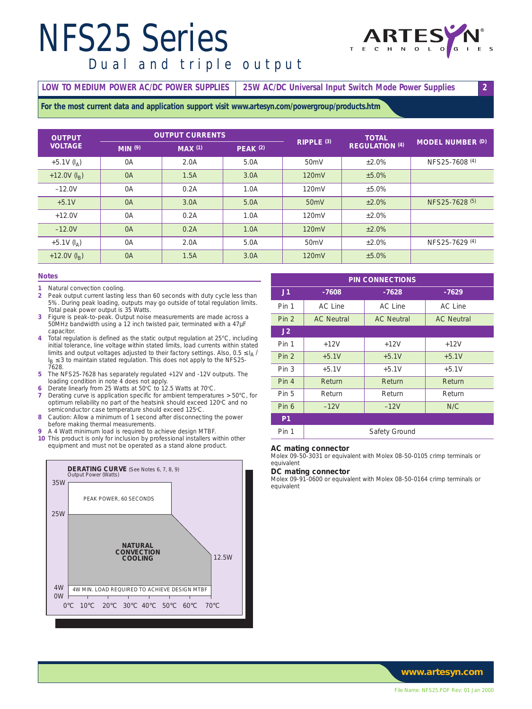## *NFS25 Series*



### *Dual and triple output*

#### **LOW TO MEDIUM POWER AC/DC POWER SUPPLIES 25W AC/DC Universal Input Switch Mode Power Supplies 2**

**For the most current data and application support visit www.artesyn.com/powergroup/products.htm**

| <b>OUTPUT</b>        | <b>OUTPUT CURRENTS</b> |        |                 | <b>TOTAL</b>          |                       |                         |
|----------------------|------------------------|--------|-----------------|-----------------------|-----------------------|-------------------------|
| <b>VOLTAGE</b>       | MIN(9)                 | MAX(1) | <b>PEAK (2)</b> | RIPPLE <sup>(3)</sup> | <b>REGULATION (4)</b> | <b>MODEL NUMBER (D)</b> |
| $+5.1V$ ( $I_A$ )    | 0A                     | 2.0A   | 5.0A            | 50 <sub>m</sub> V     | ±2.0%                 | NFS25-7608 (4)          |
| +12.0V $(I_{\rm B})$ | 0A                     | 1.5A   | 3.0A            | 120mV                 | ±5.0%                 |                         |
| $-12.0V$             | 0A                     | 0.2A   | 1.0A            | 120mV                 | $±5.0\%$              |                         |
| $+5.1V$              | 0A                     | 3.0A   | 5.0A            | 50 <sub>m</sub> V     | ±2.0%                 | NFS25-7628 (5)          |
| $+12.0V$             | 0A                     | 0.2A   | 1.0A            | 120mV                 | $+2.0%$               |                         |
| $-12.0V$             | 0A                     | 0.2A   | 1.0A            | 120mV                 | ±2.0%                 |                         |
| +5.1V $(I_A)$        | 0A                     | 2.0A   | 5.0A            | 50 <sub>m</sub> V     | ±2.0%                 | NFS25-7629 (4)          |
| +12.0V $(I_R)$       | 0A                     | 1.5A   | 3.0A            | 120mV                 | ±5.0%                 |                         |

#### **Notes**

- **1** Natural convection cooling<br>**2** Peak output current lasting
- **2** Peak output current lasting less than 60 seconds with duty cycle less than 5%. During peak loading, outputs may go outside of total regulation limits. Total peak power output is 35 Watts.
- **3** Figure is peak-to-peak. Output noise measurements are made across a 50MHz bandwidth using a 12 inch twisted pair, terminated with a 47µF capacitor.
- **4** Total regulation is defined as the static output regulation at 25°C, including initial tolerance, line voltage within stated limits, load currents within stated limits and output voltages adjusted to their factory settings. Also,  $0.5 \leq I_A$  / I<sub>B</sub> ≤ 3 to maintain stated regulation. This does not apply to the NFS25-<br>7628.
- **5** The NFS25-7628 has separately regulated +12V and -12V outputs. The loading condition in note 4 does not apply.
- 6 Derate linearly from 25 Watts at 50°C to 12.5 Watts at 70°C.
- **7** Derating curve is application specific for ambient temperatures > 50°C, for optimum reliability no part of the heatsink should exceed 120°C and no semiconductor case temperature should exceed 125°C.
- **8** Caution: Allow a minimum of 1 second after disconnecting the power before making thermal measurements.
- **9** A 4 Watt minimum load is required to achieve design MTBF.
- **10** This product is only for inclusion by professional installers within other equipment and must not be operated as a stand alone product.



| <b>PIN CONNECTIONS</b> |                   |                   |                   |  |
|------------------------|-------------------|-------------------|-------------------|--|
| J1                     | $-7608$           | $-7628$           | $-7629$           |  |
| Pin 1                  | AC Line           | <b>AC Line</b>    | <b>AC Line</b>    |  |
| Pin <sub>2</sub>       | <b>AC Neutral</b> | <b>AC Neutral</b> | <b>AC Neutral</b> |  |
| J2                     |                   |                   |                   |  |
| Pin 1                  | $+12V$            | $+12V$            | $+12V$            |  |
| Pin <sub>2</sub>       | $+5.1V$           | $+5.1V$           | $+5.1V$           |  |
| Pin <sub>3</sub>       | $+5.1V$           | $+5.1V$           | $+5.1V$           |  |
| Pin 4                  | Return            | Return            | Return            |  |
| Pin 5                  | Return            | Return            | Return            |  |
| Pin 6                  | $-12V$            | $-12V$            | N/C               |  |
| P <sub>1</sub>         |                   |                   |                   |  |
| Pin 1                  | Safety Ground     |                   |                   |  |

#### **AC mating connector**

Molex 09-50-3031 or equivalent with Molex 08-50-0105 crimp terminals or equivalent

#### **DC mating connector**

Molex 09-91-0600 or equivalent with Molex 08-50-0164 crimp terminals or equivalent

*www.artesyn.com*